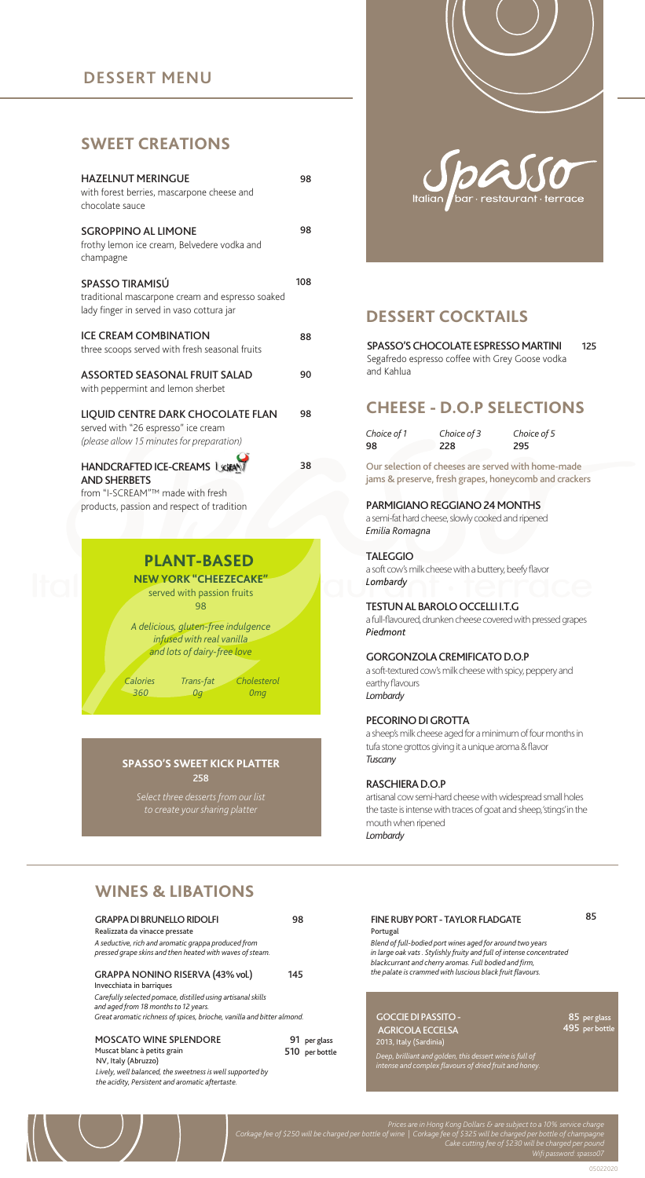### **DESSERT MENU**

### **SWEET CREATIONS**

| <b>HAZELNUT MERINGUE</b><br>with forest berries, mascarpone cheese and<br>chocolate sauce                             | 98  |
|-----------------------------------------------------------------------------------------------------------------------|-----|
| <b>SGROPPINO AL LIMONE</b><br>frothy lemon ice cream, Belvedere vodka and<br>champagne                                | 98  |
| SPASSO TIRAMISÚ<br>traditional mascarpone cream and espresso soaked<br>lady finger in served in vaso cottura jar      | 108 |
| <b>ICE CREAM COMBINATION</b><br>three scoops served with fresh seasonal fruits                                        | 88  |
| <b>ASSORTED SEASONAL FRUIT SALAD</b><br>with peppermint and lemon sherbet                                             | 90  |
| LIQUID CENTRE DARK CHOCOLATE FLAN<br>served with "26 espresso" ice cream<br>(please allow 15 minutes for preparation) | 98  |
| <b>HANDCRAFTED ICE-CREAMS USB</b><br><b>AND SHERBETS</b>                                                              | 38  |

from "I-SCREAM"™ made with fresh products, passion and respect of tradition



### **PLANT-BASED NEW YORK "CHEEZECAKE"**

served with passion fruits 98

*A delicious, gluten-free indulgence infused with real vanilla and lots of dairy-free love*

*0g*

*Calories 360*

*Cholesterol Trans-fat 0mg*

#### 258 **SPASSO'S SWEET KICK PLATTER**

*Select three desserts from our list to create your sharing platter*



## **DESSERT COCKTAILS**

125 SPASSO'S CHOCOLATE ESPRESSO MARTINI Segafredo espresso coffee with Grey Goose vodka and Kahlua

### **CHEESE - D.O.P SELECTIONS**

*Choice of 1* 98 *Choice of 5* 295 *Choice of 3* 228

Our selection of cheeses are served with home-made jams & preserve, fresh grapes, honeycomb and crackers

#### PARMIGIANO REGGIANO 24 MONTHS

a semi-fat hard cheese, slowly cooked and ripened *Emilia Romagna*

TALEGGIO a soft cow's milk cheese with a buttery, beefy flavor *Lombardy*

#### TESTUN AL BAROLO OCCELLI I.T.G

a full-flavoured, drunken cheese covered with pressed grapes *Piedmont*

#### GORGONZOLA CREMIFICATO D.O.P

a soft-textured cow's milk cheese with spicy, peppery and earthy flavours *Lombardy*

#### PECORINO DI GROTTA

a sheep's milk cheese aged for a minimum of four months in tufa stone grottos giving it a unique aroma & flavor *Tuscany*

#### RASCHIERA D.O.P

artisanal cow semi-hard cheese with widespread small holes the taste is intense with traces of goat and sheep, 'stings' in the mouth when ripened *Lombardy*

# **WINES & LIBATIONS**

| <b>GRAPPA DI BRUNELLO RIDOLFI</b><br>Realizzata da vinacce pressate<br>A seductive, rich and aromatic grappa produced from<br>pressed grape skins and then heated with waves of steam.                                                        | 98  |                                |
|-----------------------------------------------------------------------------------------------------------------------------------------------------------------------------------------------------------------------------------------------|-----|--------------------------------|
| GRAPPA NONINO RISERVA (43% vol.)<br>Invecchiata in barriques<br>Carefully selected pomace, distilled using artisanal skills<br>and aged from 18 months to 12 years.<br>Great aromatic richness of spices, brioche, vanilla and bitter almond. | 145 |                                |
| <b>MOSCATO WINE SPLENDORE</b><br>Muscat blanc à petits grain<br>NV, Italy (Abruzzo)<br>Lively, well balanced, the sweetness is well supported by<br>the acidity, Persistent and aromatic aftertaste.                                          |     | 91 per glass<br>510 per bottle |

| blackcurrant and cherry aromas. Full bodied and firm,<br>the palate is crammed with luscious black fruit flavours. |
|--------------------------------------------------------------------------------------------------------------------|

#### AGRICOLA ECCELSA 2013, Italy (Sardinia) *Deep, brilliant and golden, this dessert wine is full of intense and complex flavours of dried fruit and honey.*

85 per glass .<br>a 195

*Corkage fee of \$250 will be charged per bottle of wine | Corkage fee of \$325 will be charged per bottle of champagne*